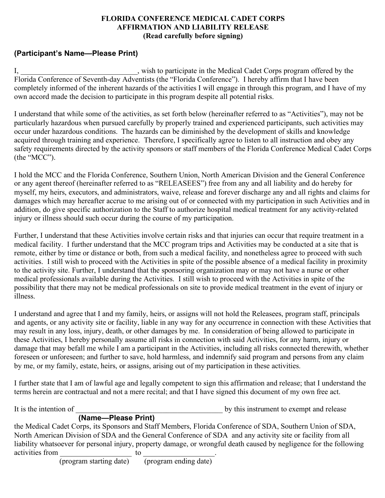### **FLORIDA CONFERENCE MEDICAL CADET CORPS AFFIRMATION AND LIABILITY RELEASE (Read carefully before signing)**

# **(Participant's Name—Please Print)**

I, \_\_\_\_\_\_\_\_\_\_\_\_\_\_\_\_\_\_\_\_\_\_\_\_\_\_, wish to participate in the Medical Cadet Corps program offered by the Florida Conference of Seventh-day Adventists (the "Florida Conference"). I hereby affirm that I have been completely informed of the inherent hazards of the activities I will engage in through this program, and I have of my own accord made the decision to participate in this program despite all potential risks.

I understand that while some of the activities, as set forth below (hereinafter referred to as "Activities"), may not be particularly hazardous when pursued carefully by properly trained and experienced participants, such activities may occur under hazardous conditions. The hazards can be diminished by the development of skills and knowledge acquired through training and experience. Therefore, I specifically agree to listen to all instruction and obey any safety requirements directed by the activity sponsors or staff members of the Florida Conference Medical Cadet Corps (the "MCC").

I hold the MCC and the Florida Conference, Southern Union, North American Division and the General Conference or any agent thereof (hereinafter referred to as "RELEASEES") free from any and all liability and do hereby for myself, my heirs, executors, and administrators, waive, release and forever discharge any and all rights and claims for damages which may hereafter accrue to me arising out of or connected with my participation in such Activities and in addition, do give specific authorization to the Staff to authorize hospital medical treatment for any activity-related injury or illness should such occur during the course of my participation.

Further, I understand that these Activities involve certain risks and that injuries can occur that require treatment in a medical facility. I further understand that the MCC program trips and Activities may be conducted at a site that is remote, either by time or distance or both, from such a medical facility, and nonetheless agree to proceed with such activities. I still wish to proceed with the Activities in spite of the possible absence of a medical facility in proximity to the activity site. Further, I understand that the sponsoring organization may or may not have a nurse or other medical professionals available during the Activities. I still wish to proceed with the Activities in spite of the possibility that there may not be medical professionals on site to provide medical treatment in the event of injury or illness.

I understand and agree that I and my family, heirs, or assigns will not hold the Releasees, program staff, principals and agents, or any activity site or facility, liable in any way for any occurrence in connection with these Activities that may result in any loss, injury, death, or other damages by me. In consideration of being allowed to participate in these Activities, I hereby personally assume all risks in connection with said Activities, for any harm, injury or damage that may befall me while I am a participant in the Activities, including all risks connected therewith, whether foreseen or unforeseen; and further to save, hold harmless, and indemnify said program and persons from any claim by me, or my family, estate, heirs, or assigns, arising out of my participation in these activities.

I further state that I am of lawful age and legally competent to sign this affirmation and release; that I understand the terms herein are contractual and not a mere recital; and that I have signed this document of my own free act.

| It is the intention of |                     | by this instrument to exempt and release |
|------------------------|---------------------|------------------------------------------|
|                        | (Name-Please Print) |                                          |

the Medical Cadet Corps, its Sponsors and Staff Members, Florida Conference of SDA, Southern Union of SDA, North American Division of SDA and the General Conference of SDA and any activity site or facility from all liability whatsoever for personal injury, property damage, or wrongful death caused by negligence for the following activities from to to the control of the control of the control of the control of the control of the control of the control of the control of the control of the control of the control of the control of the control of the c

(program starting date) (program ending date)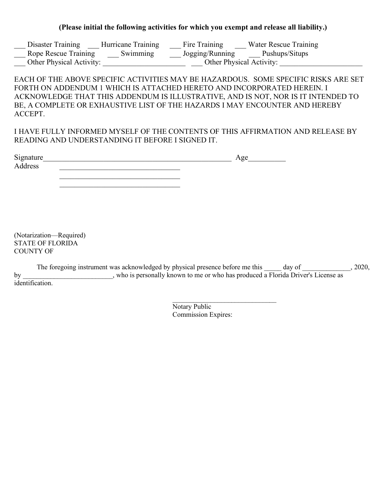#### **(Please initial the following activities for which you exempt and release all liability.)**

| Disaster Training        | <b>Hurricane Training</b> | Fire Training            | Water Rescue Training |  |
|--------------------------|---------------------------|--------------------------|-----------------------|--|
| Rope Rescue Training     | Swimming                  | Jogging/Running          | Pushups/Situps        |  |
| Other Physical Activity: |                           | Other Physical Activity: |                       |  |

### EACH OF THE ABOVE SPECIFIC ACTIVITIES MAY BE HAZARDOUS. SOME SPECIFIC RISKS ARE SET FORTH ON ADDENDUM 1 WHICH IS ATTACHED HERETO AND INCORPORATED HEREIN. I ACKNOWLEDGE THAT THIS ADDENDUM IS ILLUSTRATIVE, AND IS NOT, NOR IS IT INTENDED TO BE, A COMPLETE OR EXHAUSTIVE LIST OF THE HAZARDS I MAY ENCOUNTER AND HEREBY ACCEPT.

## I HAVE FULLY INFORMED MYSELF OF THE CONTENTS OF THIS AFFIRMATION AND RELEASE BY READING AND UNDERSTANDING IT BEFORE I SIGNED IT.

| Signature | Age |
|-----------|-----|
| Address   |     |
|           |     |
|           |     |

(Notarization—Required) STATE OF FLORIDA COUNTY OF

|    | The foregoing instrument was acknowledged by physical presence before me this<br>day of | 2020, |
|----|-----------------------------------------------------------------------------------------|-------|
| bv | who is personally known to me or who has produced a Florida Driver's License as         |       |
|    | identification.                                                                         |       |

Notary Public Commission Expires:

 $\mathcal{L}_\text{max}$  , where  $\mathcal{L}_\text{max}$  is the set of the set of the set of the set of the set of the set of the set of the set of the set of the set of the set of the set of the set of the set of the set of the set of the se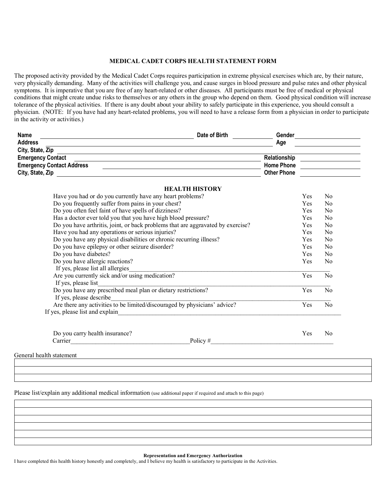#### **MEDICAL CADET CORPS HEALTH STATEMENT FORM**

The proposed activity provided by the Medical Cadet Corps requires participation in extreme physical exercises which are, by their nature, very physically demanding. Many of the activities will challenge you, and cause surges in blood pressure and pulse rates and other physical symptoms. It is imperative that you are free of any heart-related or other diseases. All participants must be free of medical or physical conditions that might create undue risks to themselves or any others in the group who depend on them. Good physical condition will increase tolerance of the physical activities. If there is any doubt about your ability to safely participate in this experience, you should consult a physician. (NOTE: If you have had any heart-related problems, you will need to have a release form from a physician in order to participate in the activity or activities.)

| <b>Name</b>                      | Date of Birth | Gender             |  |
|----------------------------------|---------------|--------------------|--|
| <b>Address</b>                   |               | Age                |  |
| City, State, Zip                 |               |                    |  |
| <b>Emergency Contact</b>         |               | Relationship       |  |
| <b>Emergency Contact Address</b> |               | <b>Home Phone</b>  |  |
| City, State, Zip                 |               | <b>Other Phone</b> |  |

| <b>HEALTH HISTORY</b>                                                           |     |                |
|---------------------------------------------------------------------------------|-----|----------------|
| Have you had or do you currently have any heart problems?                       | Yes | N <sub>0</sub> |
| Do you frequently suffer from pains in your chest?                              | Yes | N <sub>0</sub> |
| Do you often feel faint of have spells of dizziness?                            | Yes | No             |
| Has a doctor ever told you that you have high blood pressure?                   | Yes | No             |
| Do you have arthritis, joint, or back problems that are aggravated by exercise? | Yes | No             |
| Have you had any operations or serious injuries?                                | Yes | N <sub>0</sub> |
| Do you have any physical disabilities or chronic recurring illness?             | Yes | N <sub>0</sub> |
| Do you have epilepsy or other seizure disorder?                                 | Yes | N <sub>0</sub> |
| Do you have diabetes?                                                           | Yes | N <sub>0</sub> |
| Do you have allergic reactions?                                                 | Yes | N <sub>0</sub> |
| If yes, please list all allergies                                               |     |                |
| Are you currently sick and/or using medication?                                 | Yes | No             |
| If yes, please list                                                             |     |                |
| Do you have any prescribed meal plan or dietary restrictions?                   | Yes | No             |
| If yes, please describe                                                         |     |                |
| Are there any activities to be limited/discouraged by physicians' advice?       | Yes | N <sub>0</sub> |
| If yes, please list and explain                                                 |     |                |
|                                                                                 |     |                |
| Do you carry health insurance?                                                  | Yes | N <sub>0</sub> |

| ___<br>---------- |                     | ---- | ------ |
|-------------------|---------------------|------|--------|
| arrier            | 116<br>$\mathbf{v}$ |      |        |
|                   |                     |      |        |

General health statement

Please list/explain any additional medical information (use additional paper if required and attach to this page)

**Representation and Emergency Authorization**

I have completed this health history honestly and completely, and I believe my health is satisfactory to participate in the Activities.